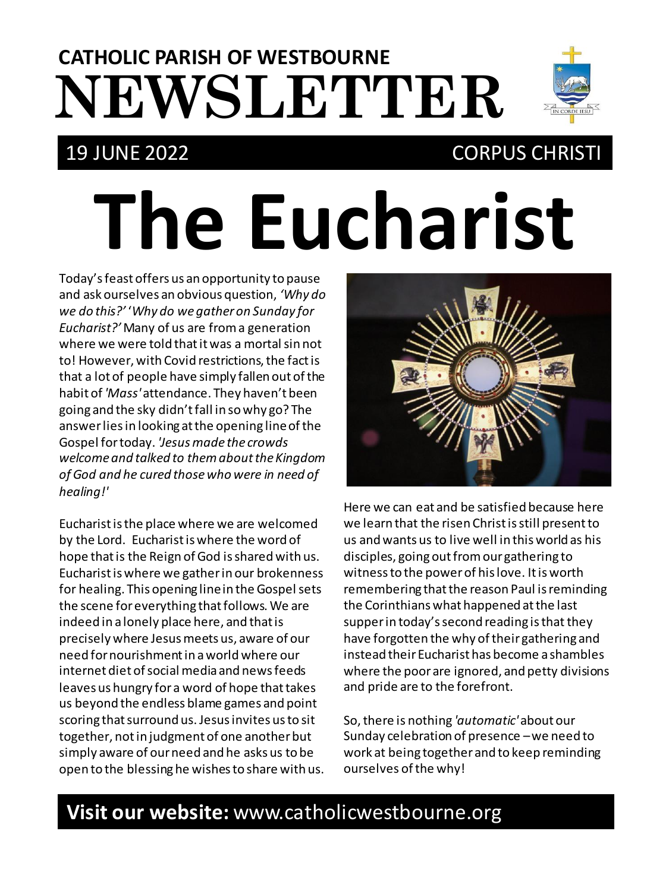# **NEWSLETTER CATHOLIC PARISH OF WESTBOURNE**

## 19 JUNE 2022 CORPUS CHRISTI

# **The Eucharist**

Today's feast offers us an opportunity to pause and ask ourselves an obvious question, *'Why do we do this?'* '*Why do we gather on Sunday for Eucharist?'* Many of us are from a generation where we were told that it was a mortal sin not to! However, with Covid restrictions, the fact is that a lot of people have simply fallen out of the habit of *'Mass'* attendance. They haven't been going and the sky didn't fall in so why go? The answer lies in looking at the opening line of the Gospel for today. *'Jesus made the crowds welcome and talked to them about the Kingdom of God and he cured those who were in need of healing!'*

Eucharist is the place where we are welcomed by the Lord. Eucharist is where the word of hope that is the Reign of God is shared with us. Eucharist is where we gather in our brokenness for healing. This opening line in the Gospel sets the scene for everything that follows. We are indeed in a lonely place here, and that is precisely where Jesus meets us, aware of our need for nourishment in a world where our internet diet of social media and news feeds leaves us hungry for a word of hope that takes us beyond the endless blame games and point scoring that surround us. Jesus invites us to sit together, not in judgment of one another but simply aware of our need and he asks us to be open to the blessing he wishes to share with us.



Here we can eat and be satisfied because here we learn that the risen Christ is still present to us and wants us to live well in this world as his disciples, going out from our gathering to witness to the power of his love. It isworth remembering that the reason Paul is reminding the Corinthians what happened at the last supper in today's second reading is that they have forgotten the why of their gathering and instead their Eucharist has become a shambles where the poor are ignored, and petty divisions and pride are to the forefront.

So, there is nothing *'automatic'* about our Sunday celebration of presence –we need to work at being together and to keep reminding ourselves of the why!

### **Visit our website:** www.catholicwestbourne.org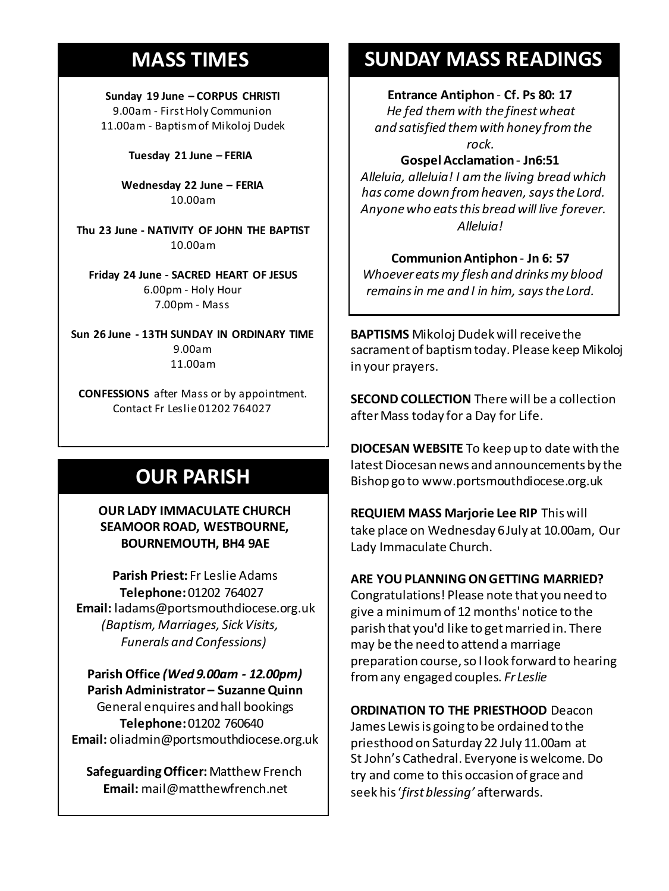#### **MASS TIMES**

**Sunday 19 June – CORPUS CHRISTI** 9.00am - First Holy Communion 11.00am - Baptism of Mikoloj Dudek

**Tuesday 21 June – FERIA**

**Wednesday 22 June – FERIA** 10.00am

**11am** *Tim Mc Cann* **Thu 23 June - NATIVITY OF JOHN THE BAPTIST Wednesday 14th** *Repose of the souls of*  10.00am

*Bernard Charles and Elsie May Pratt* **Friday 24 June - SACRED HEART OF JESUS Saturday 16th** *Rosemarie Schofield RIP* 6.00pm - Holy Hour **Sunday 18th 11am** *The Parish*  7.00pm - Mass

**Sun 26 June - 13TH SUNDAY IN ORDINARY TIME** 9.00am 11.00am

**CONFESSIONS** after Mass or by appointment. Contact Fr Leslie 01202 764027

#### **OUR PARISH**

#### **OUR LADY IMMACULATE CHURCH SEAMOOR ROAD, WESTBOURNE, BOURNEMOUTH, BH4 9AE**

**Parish Priest:** Fr Leslie Adams **Telephone:**01202 764027 **Email:** ladams@portsmouthdiocese.org.uk *(Baptism, Marriages, Sick Visits, Funerals and Confessions)*

**Parish Office** *(Wed 9.00am - 12.00pm)* **Parish Administrator – Suzanne Quinn** General enquires and hall bookings **Telephone:**01202 760640 **Email:** oliadmin@portsmouthdiocese.org.uk

**Safeguarding Officer:**Matthew French **Email:** mail@matthewfrench.net

#### **SUNDAY MASS READINGS**

**Entrance Antiphon** - **Cf. Ps 80: 17** *He fed them with the finest wheat and satisfied them with honey from the rock.* 

**Gospel Acclamation**- **Jn6:51**

*Alleluia, alleluia! I am the living bread which*  has come down from heaven, says the Lord. *Anyone who eats this bread will live forever. Alleluia!* 

**Communion Antiphon** - **Jn 6: 57**

*Whoever eats my flesh and drinks my blood remains in me and I in him, says the Lord.* 

**BAPTISMS** Mikoloj Dudek will receive the sacrament of baptism today. Please keep Mikoloj in your prayers.

**SECOND COLLECTION** There will be a collection after Mass today for a Day for Life.

**DIOCESAN WEBSITE** To keep up to date with the latest Diocesan news and announcements by the Bishop go to www.portsmouthdiocese.org.uk

**REQUIEM MASS Marjorie Lee RIP** This will take place on Wednesday 6July at 10.00am, Our Lady Immaculate Church.

**ARE YOU PLANNING ON GETTING MARRIED?**

Congratulations! Please note that you need to give a minimumof 12months' notice to the parish that you'd like to get married in. There may be the need to attend a marriage preparation course, so I look forward to hearing from any engaged couples. *Fr Leslie*

**ORDINATION TO THE PRIESTHOOD** Deacon James Lewis is going to be ordained to the priesthood on Saturday 22 July 11.00am at St John's Cathedral. Everyone is welcome. Do try and come to this occasion of grace and

seek his '*first blessing'* afterwards.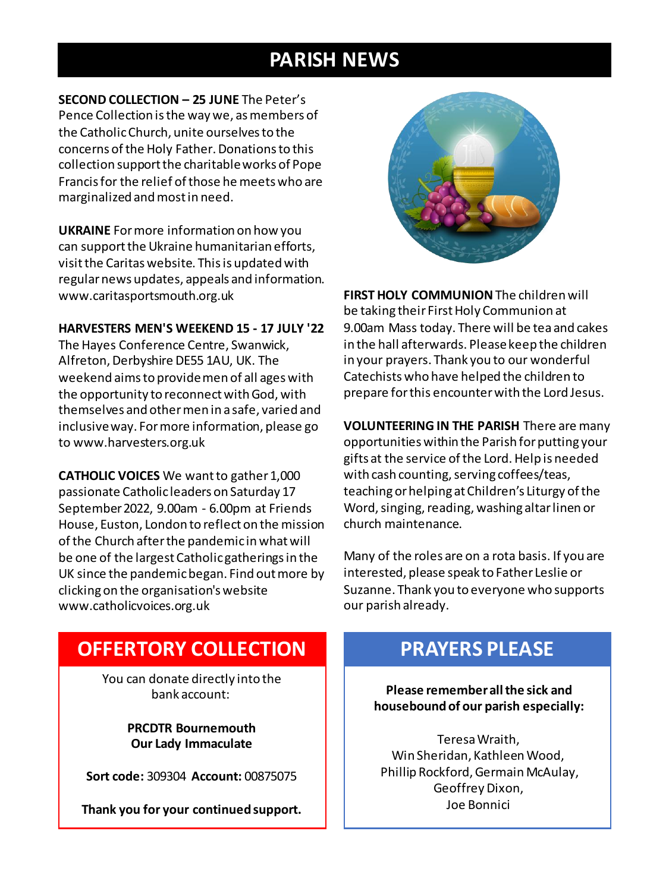#### **PARISH NEWS**

**SECOND COLLECTION – 25 JUNE** The Peter's Pence Collection is the way we, as members of the Catholic Church, unite ourselves to the concerns of the Holy Father. Donations to this collection support the charitable works of Pope Francis for the relief of those he meets who are marginalized and most in need.

**UKRAINE** For more information on how you can support the Ukraine humanitarian efforts, visit the Caritas website. This is updated with regular news updates, appeals and information. www.caritasportsmouth.org.uk

#### **HARVESTERS MEN'S WEEKEND 15 - 17 JULY '22**

The Hayes Conference Centre, Swanwick, Alfreton, Derbyshire DE55 1AU, UK. The weekend aims to provide men of all ages with the opportunity to reconnect with God, with themselves and other men in a safe, varied and inclusive way. For more information, please go to www.harvesters.org.uk

**CATHOLIC VOICES** We want to gather 1,000 passionate Catholic leaders on Saturday 17 September 2022, 9.00am - 6.00pm at Friends House, Euston, London to reflect on the mission of the Church after the pandemic in what will be one of the largest Catholic gatherings in the UK since the pandemic began. Find out more by clicking on the organisation's website www.catholicvoices.org.uk



**FIRST HOLY COMMUNION**The children will be taking their First Holy Communion at 9.00am Mass today. There will be tea and cakes in the hall afterwards. Please keep the children in your prayers. Thank you to our wonderful Catechists who have helped the children to prepare for this encounter with the Lord Jesus.

**VOLUNTEERING IN THE PARISH** There are many opportunities within the Parish for putting your gifts at the service of the Lord. Help is needed with cash counting, serving coffees/teas, teaching or helping at Children's Liturgy of the Word, singing, reading, washing altar linen or church maintenance.

Many of the roles are on a rota basis. If you are interested, please speak to Father Leslie or Suzanne. Thank you to everyone who supports our parish already.

#### **OFFERTORY COLLECTION**

You can donate directly into the bank account:

> **PRCDTR Bournemouth Our Lady Immaculate**

**Sort code:** 309304 **Account:** 00875075

**Thank you for your continued support.**

#### **PRAYERS PLEASE**

**Please remember all the sick and housebound of our parish especially:**

Teresa Wraith, Win Sheridan, Kathleen Wood, Phillip Rockford, Germain McAulay, Geoffrey Dixon, Joe Bonnici